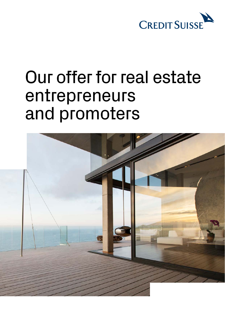

# Our offer for real estate entrepreneurs and promoters

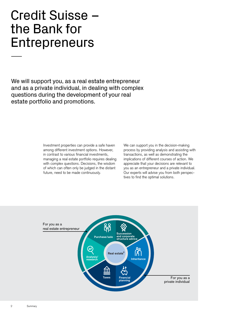# Credit Suisse – the Bank for **Entrepreneurs**

We will support you, as a real estate entrepreneur and as a private individual, in dealing with complex questions during the development of your real estate portfolio and promotions.

> Investment properties can provide a safe haven among different investment options. However, in contrast to various financial investments, managing a real estate portfolio requires dealing with complex questions. Decisions, the wisdom of which can often only be judged in the distant future, need to be made continuously.

We can support you in the decision-making process by providing analysis and assisting with transactions, as well as demonstrating the implications of different courses of action. We appreciate that your decisions are relevant to you as an entrepreneur and a private individual. Our experts will advise you from both perspectives to find the optimal solutions.

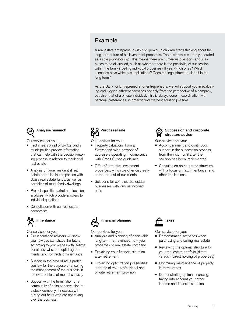## Example

A real estate entrepreneur with two grown-up children starts thinking about the long-term future of his investment properties. The business is currently operated as a sole proprietorship. This means there are numerous questions and scenarios to be discussed, such as whether there is the possibility of succession within the family? Selling individual properties? If yes, which ones? Which scenarios have which tax implications? Does the legal structure also fit in the long term?

As the Bank for Entrepreneurs for entrepreneurs, we will support you in evaluating and judging different scenarios not only from the perspective of a company, but also, that of a private individual. This is always done in coordination with personal preferences, in order to find the best solution possible.



Our services for you:

- Fact sheets on all of Switzerland's municipalities provide information that can help with the decision-making process in relation to residential real estate
- Analysis of larger residential real estate portfolios in comparison with Swiss real estate funds, as well as portfolios of multi-family dwellings
- Project-specific market and location analyses, which provide answers to individual questions
- Consultation with our real estate economists

## **Inheritance**

Our services for you:

- Our inheritance advisors will show you how you can shape the future according to your wishes with lifetime donations, wills, prenuptial agreements, and contracts of inheritance
- Support in the area of adult protection law for the purpose of ensuring the management of the business in the event of loss of mental capacity
- Support with the termination of a community of heirs or conversion to a stock company, if necessary, in buying out heirs who are not taking over the business

# **Purchase/sale**

Our services for you:

- Property valuations from a Switzerland-wide network of appraisers operating in compliance with Credit Suisse guidelines
- Offer of attractive investment properties, which we offer discreetly at the request of our clients
- Solutions for complex real estate businesses with various involved units



#### **Succession and corporate structure advice**

Our services for you:

- Accompaniment and continuous support in the succession process, from the vision until after the solution has been implemented
- Consultation on corporate structure with a focus on tax, inheritance, and other implications



Our services for you:

- Analysis and planning of achievable, long-term net revenues from your properties or real estate company
- Explaining your financial situation after retirement
- Explaining optimization possibilities in terms of your professional and private retirement provision



Our services for you:

- Demonstrating scenarios when purchasing and selling real estate
- Reviewing the optimal structure for your real estate portfolio (direct versus indirect holding of properties)
- Optimizing maintainance of property in terms of tax
- Demonstrating optimal financing, taking into account your other income and financial situation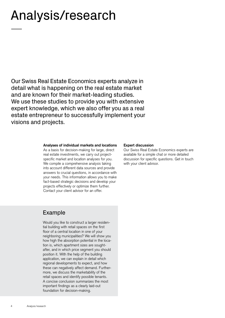# Analysis/research

Our Swiss Real Estate Economics experts analyze in detail what is happening on the real estate market and are known for their market-leading studies. We use these studies to provide you with extensive expert knowledge, which we also offer you as a real estate entrepreneur to successfully implement your visions and projects.

#### **Analyses of individual markets and locations**

As a basis for decision-making for large, direct real estate investments, we carry out projectspecific market and location analyses for you. We compile a comprehensive analysis taking into account different data sources and provide answers to crucial questions, in accordance with your needs. This information allows you to make fact-based strategic decisions and develop your projects effectively or optimize them further. Contact your client advisor for an offer.

## Example

Would you like to construct a larger residential building with retail spaces on the first floor of a central location in one of your neighboring municipalities? We will show you how high the absorption potential in the location is, which apartment sizes are soughtafter, and in which price segment you should position it. With the help of the building application, we can explain in detail which regional developments to expect, and how these can negatively affect demand. Furthermore, we discuss the marketability of the retail spaces and identify possible tenants. A concise conclusion summarizes the most important findings as a clearly laid-out foundation for decision-making.

#### **Expert discussion**

Our Swiss Real Estate Economics experts are available for a simple chat or more detailed discussion for specific questions. Get in touch with your client advisor.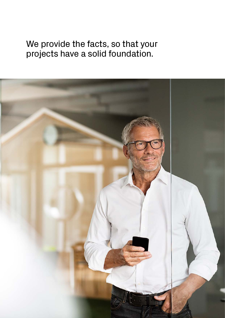## We provide the facts, so that your projects have a solid foundation.

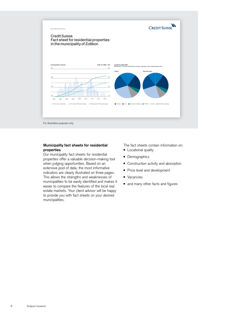

#### **Municipality fact sheets for residential properties**

Our municipality fact sheets for residential properties offer a valuable decision-making tool when judging opportunities. Based on an extensive pool of data, the most informative indicators are clearly illustrated on three pages. This allows the strengths and weaknesses of municipalities to be easily identified and makes it easier to compare the features of the local real estate markets. Your client advisor will be happy to provide you with fact sheets on your desired municipalities.

The fact sheets contain information on:

- Locational quality
- Demographics
- Construction activity and absorption
- Price level and development
- Vacancies
- and many other facts and figures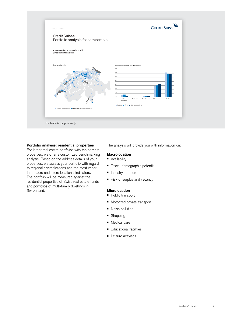

#### **Portfolio analysis: residential properties**

For larger real estate portfolios with ten or more properties, we offer a customized benchmarking analysis. Based on the address details of your properties, we assess your portfolio with regard to regional diversifications and the most important macro and micro locational indicators. The portfolio will be measured against the residential properties of Swiss real estate funds and portfolios of multi-family dwellings in Switzerland.

The analysis will provide you with information on:

#### **Macrolocation**

- Availability
- Taxes, demographic potential
- Industry structure
- Risk of surplus and vacancy

#### **Microlocation**

- Public transport
- Motorized private transport
- Noise pollution
- Shopping
- Medical care
- Educational facilities
- **E** Leisure activities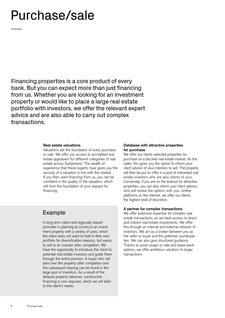# Purchase/sale

Financing properties is a core product of every bank. But you can expect more than just financing from us. Whether you are looking for an investment property or would like to place a large real estate portfolio with investors, we offer the relevant expert advice and are also able to carry out complex transactions.

#### **Real estate valuations**

Valuations are the foundation of every purchase or sale. We offer you access to accredited real estate appraisers for different categories of real estate across Switzerland. The wealth of experience that these experts have gives you the security of a valuation in line with the market. If you then want financing from us, you can be confident in the quality of the valuation, which will form the foundation of your request for financing.

## Example

A long-term client and regionally-based promoter is planning to construct an investment property with a variety of uses, which the client does not want to hold in their own portfolio for diversification reasons, but wants to sell to an investor after completion. We have the opportunity to introduce the client to potential real estate investors and guide them through the entire process. A buyer who will take over the property after completion and the subsequent leasing can be found in the large pool of investors. As a result of the delayed property takeover, construction financing is now required, which we will tailor to the client's needs.

#### **Database with attractive properties for purchase**

We offer our clients selected properties for purchase on a discreet real estate market. As the seller, this gives you the option to inform your client advisor of your intention to sell. The property will then be put on offer in a pool of interested real estate investors who are also clients of ours. Conversely, if you are on the lookout for attractive properties, you can also inform your client advisor, who will review the options with you. Unlike platforms on the internet, we offer our clients the highest level of discretion.

#### **A partner for complex transactions**

We offer extensive expertise for complex real estate transactions, as we have access to direct and indirect real estate investments. We offer this through an internal and external network of investors. We act as a broker between you as the seller or buyer and the potential counterparties. We can also give structured guidance. Thanks to asset swaps or sale and lease-back options, we offer ambitious solutions to larger transactions.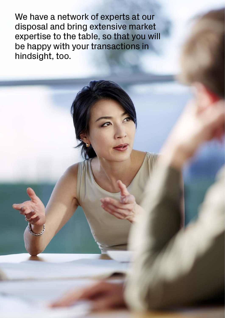We have a network of experts at our disposal and bring extensive market expertise to the table, so that you will be happy with your transactions in hindsight, too.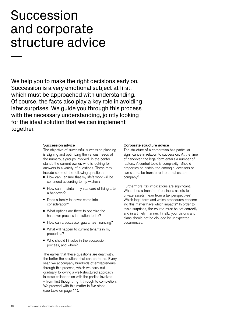# Succession and corporate structure advice

We help you to make the right decisions early on. Succession is a very emotional subject at first, which must be approached with understanding. Of course, the facts also play a key role in avoiding later surprises. We guide you through this process with the necessary understanding, jointly looking for the ideal solution that we can implement together.

#### **Succession advice**

The objective of successful succession planning is aligning and optimizing the various needs of the numerous groups involved. In the center stands the current owner, who is looking for answers to a variety of questions. These may include some of the following questions:

- How can I ensure that my life's work will be continued according to my wishes?
- How can I maintain my standard of living after a handover?
- Does a family takeover come into consideration?
- What options are there to optimize the handover process in relation to tax?
- How can a successor guarantee financing?
- What will happen to current tenants in my properties?
- Who should I involve in the succession process, and when?

The earlier that these questions are dealt with, the better the solutions that can be found. Every year, we accompany hundreds of entrepreneurs through this process, which we carry out gradually following a well-structured approach in close collaboration with the parties involved – from first thought, right through to completion. We proceed with this matter in five steps (see table on page 11).

#### **Corporate structure advice**

The structure of a corporation has particular significance in relation to succession. At the time of handover, the legal form entails a number of factors. A central topic is complexity: Should properties be distributed among successors or can shares be transferred to a real estate company?

Furthermore, tax implications are significant. What does a transfer of business assets to private assets mean from a tax perspective? Which legal form and which procedures concerning this matter have which impacts? In order to avoid surprises, the course must be set correctly and in a timely manner. Finally, your visions and plans should not be clouded by unexpected occurrences.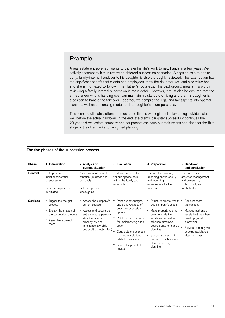## Example

A real estate entrepreneur wants to transfer his life's work to new hands in a few years. We actively accompany him in reviewing different succession scenarios. Alongside sale to a third party, family-internal handover to his daughter is also thoroughly reviewed. The latter option has the significant benefit that clients and employees know the daughter well and also value her, and she is motivated to follow in her father's footsteps. This background means it is worth reviewing a family-internal succession in more detail. However, it must also be ensured that the entrepreneur who is handing over can maintain his standard of living and that his daughter is in a position to handle the takeover. Together, we compile the legal and tax aspects into optimal plans, as well as a financing model for the daughter's share purchase.

This scenario ultimately offers the most benefits and we begin by implementing individual steps well before the actual handover. In the end, the client's daughter successfully continues the 20-year-old real estate company and her parents can carry out their visions and plans for the third stage of their life thanks to farsighted planning.

| Phase           | 1. Initialization                                        | 2. Analysis of<br>current situation                                                                                                                                                            | 3. Evaluation                                                                                                                                        | 4. Preparation                                                                                                                                                                                                                                                               | 5. Handover<br>and conclusion                                                              |
|-----------------|----------------------------------------------------------|------------------------------------------------------------------------------------------------------------------------------------------------------------------------------------------------|------------------------------------------------------------------------------------------------------------------------------------------------------|------------------------------------------------------------------------------------------------------------------------------------------------------------------------------------------------------------------------------------------------------------------------------|--------------------------------------------------------------------------------------------|
| Content         | Entrepreneur's<br>initial consideration<br>of succession | Assessment of current<br>situation (business and<br>personal)                                                                                                                                  | Evaluate and prioritize<br>various options both<br>within the family and<br>externally                                                               | Prepare the company,<br>departing entrepreneur,<br>and incoming<br>entrepreneur for the<br>handover                                                                                                                                                                          | The successor<br>assumes management<br>and ownership,<br>both formally and<br>symbolically |
|                 | Succession process<br>is initiated                       | List entrepreneur's<br>ideas/goals                                                                                                                                                             |                                                                                                                                                      |                                                                                                                                                                                                                                                                              |                                                                                            |
| <b>Services</b> | ■ Trigger the thought<br>process                         | Assess the company's<br>current situation<br>Assess and secure the<br>entrepreneur's personal<br>situation (marital<br>property law and<br>inheritance law, child<br>and adult protection law) | • Point out advantages<br>and disadvantages of<br>possible succession<br>٠<br>options<br>• Point out requirements<br>for implementing each<br>option | Structure private wealth .<br>and company's assets<br>Make property regime<br>provisions, define<br>estate settlement and<br>advance directives,<br>arrange private financial<br>planning<br>Support successor in<br>drawing up a business<br>plan and liquidity<br>planning | Conduct asset<br>transactions                                                              |
|                 | • Explain the phases of<br>the succession process        |                                                                                                                                                                                                |                                                                                                                                                      |                                                                                                                                                                                                                                                                              | Manage portions of<br>assets that have been<br>freed up (asset<br>allocation)              |
|                 | Assemble a project<br>team                               |                                                                                                                                                                                                |                                                                                                                                                      |                                                                                                                                                                                                                                                                              |                                                                                            |
|                 |                                                          |                                                                                                                                                                                                |                                                                                                                                                      |                                                                                                                                                                                                                                                                              | Provide company with<br>ongoing assistance<br>after handover                               |
|                 |                                                          |                                                                                                                                                                                                | Contribute experiences                                                                                                                               |                                                                                                                                                                                                                                                                              |                                                                                            |
|                 |                                                          |                                                                                                                                                                                                | from other solutions<br>related to succession                                                                                                        |                                                                                                                                                                                                                                                                              |                                                                                            |
|                 |                                                          |                                                                                                                                                                                                | • Search for potential<br>buyers                                                                                                                     |                                                                                                                                                                                                                                                                              |                                                                                            |

#### **The five phases of the succession process**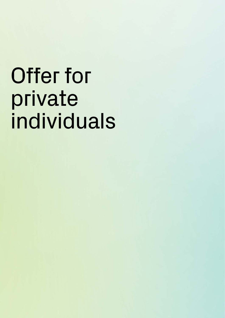# Offer for private individuals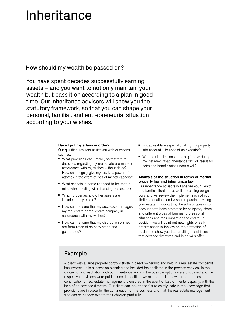# Inheritance

How should my wealth be passed on?

You have spent decades successfully earning assets – and you want to not only maintain your wealth but pass it on according to a plan in good time. Our inheritance advisors will show you the statutory framework, so that you can shape your personal, familial, and entrepreneurial situation according to your wishes.

#### **Have I put my affairs in order?**

Our qualified advisors assist you with questions such as:

- What provisions can I make, so that future decisions regarding my real estate are made in accordance with my wishes without delay? How can I legally give my relatives power of attorney in the event of loss of mental capacity?
- What aspects in particular need to be kept in mind when dealing with financing real estate?
- Which properties and other assets are included in my estate?
- How can I ensure that my successor manages my real estate or real estate company in accordance with my wishes?
- How can I ensure that my distribution wishes are formulated at an early stage and guaranteed?
- $\blacksquare$  Is it advisable especially taking my property into account – to appoint an executor?
- What tax implications does a gift have during my lifetime? What inheritance tax will result for heirs and beneficiaries under a will?

#### **Analysis of the situation in terms of marital property law and inheritance law**

Our inheritance advisors will analyze your wealth and familial situation, as well as existing obligations and will review the implementation of your lifetime donations and wishes regarding dividing your estate. In doing this, the advisor takes into account both heirs protected by obligatory share and different types of families, professional situations and their impact on the estate. In addition, we will point out new rights of selfdetermination in the law on the protection of adults and show you the resulting possibilities that advance directives and living wills offer.

## Example

A client with a large property portfolio (both in direct ownership and held in a real estate company) has involved us in succession planning and included their children in the process early on. In the context of a consultation with our inheritance advisor, the possible options were discussed and the respective provisions were put in place. In addition, we made the client aware that the desired continuation of real estate management is ensured in the event of loss of mental capacity, with the help of an advance directive. Our client can look to the future calmly, safe in the knowledge that provisions are in place for the continuation of the business and that the real estate management side can be handed over to their children gradually.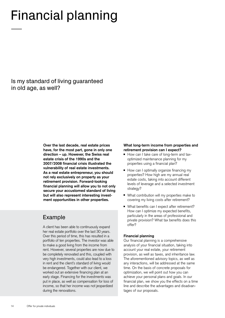# Financial planning

Is my standard of living guaranteed in old age, as well?

> **Over the last decade, real estate prices have, for the most part, gone in only one direction – up. However, the Swiss real estate crisis of the 1990s and the 2007/2008 financial crisis illustrated the vulnerability of real estate investments. As a real estate entrepreneur, you should not rely exclusively on property as your retirement provision. Forward-looking financial planning will allow you to not only secure your accustomed standard of living but will also represent interesting investment opportunities in other properties.**

## Example

A client has been able to continuously expand her real estate portfolio over the last 30 years. Over this period of time, this has resulted in a portfolio of ten properties. The investor was able to make a good living from the income from rent. However, several properties are now due to be completely renovated and this, coupled with very high investments, could also lead to a loss in rent and the client's standard of living would be endangered. Together with our client, we worked out an extensive financing plan at an early stage. Financing for the investments was put in place, as well as compensation for loss of income, so that her income was not jeopardized during the renovations.

#### **What long-term income from properties and retirement provision can I expect?**

- How can I take care of long-term and taxoptimized maintenance planning for my properties using a financial plan?
- How can I optimally organize financing my properties? How high are my annual real estate costs, taking into account different levels of leverage and a selected investment strategy?
- What contribution will my properties make to covering my living costs after retirement?
- What benefits can I expect after retirement? How can I optimize my expected benefits, particularly in the areas of professional and private provision? What tax benefits does this offer?

#### **Financial planning**

Our financial planning is a comprehensive analysis of your financial situation, taking into account your real estate, your retirement provision, as well as taxes, and inheritance law. The aforementioned advisory topics, as well as any interactions, will be addressed at the same time. On the basis of concrete proposals for optimization, we will point out how you can achieve your personal plans and goals. In our financial plan, we show you the effects on a time line and describe the advantages and disadvantages of our proposals.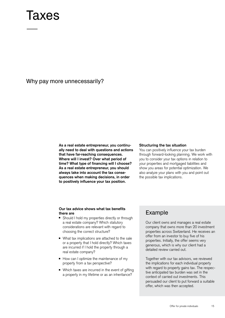# Taxes

### Why pay more unnecessarily?

**As a real estate entrepreneur, you continually need to deal with questions and actions that have far-reaching consequences. Where will I invest? Over what period of time? What type of financing will I choose? As a real estate entrepreneur, you should always take into account the tax consequences when making decisions, in order to positively influence your tax position.**

#### **Structuring the tax situation**

You can positively influence your tax burden through forward-looking planning. We work with you to consider your tax options in relation to your properties and mortgaged liabilities and show you areas for potential optimization. We also analyze your plans with you and point out the possible tax implications.

#### **Our tax advice shows what tax benefits there are**

- Should I hold my properties directly or through a real estate company? Which statutory considerations are relevant with regard to choosing the correct structure?
- What tax implications are attached to the sale or a property that I hold directly? Which taxes are incurred if I hold the property through a real estate company?
- How can I optimize the maintenance of my property from a tax perspective?
- Which taxes are incurred in the event of gifting a property in my lifetime or as an inheritance?

## Example

Our client owns and manages a real estate company that owns more than 20 investment properties across Switzerland. He receives an offer from an investor to buy five of his properties. Initially, the offer seems very generous, which is why our client had a detailed review carried out.

Together with our tax advisors, we reviewed the implications for each individual property with regard to property gains tax. The respective anticipated tax burden was set in the context of carried out investments. This persuaded our client to put forward a suitable offer, which was then accepted.